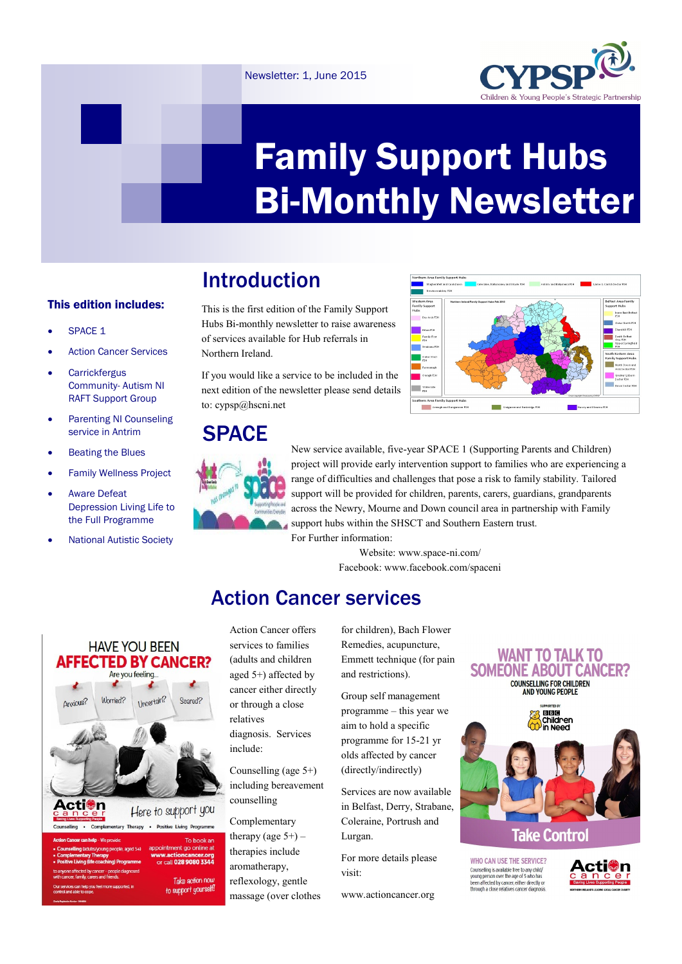#### Newsletter: 1, June 2015



# Family Support Hubs Bi-Monthly Newsletter

# Introduction

#### This edition includes:

- SPACE 1
- Action Cancer Services
- **Carrickfergus** Community- Autism NI RAFT Support Group
- Parenting NI Counseling service in Antrim
- Beating the Blues
- Family Wellness Project
- Aware Defeat Depression Living Life to the Full Programme
- National Autistic Society

This is the first edition of the Family Support Hubs Bi-monthly newsletter to raise awareness of services available for Hub referrals in Northern Ireland.

If you would like a service to be included in the next edition of the newsletter please send details to: cypsp@hscni.net

### **SPACE**



New service available, five-year SPACE 1 (Supporting Parents and Children) project will provide early intervention support to families who are experiencing a range of difficulties and challenges that pose a risk to family stability. Tailored support will be provided for children, parents, carers, guardians, grandparents across the Newry, Mourne and Down council area in partnership with Family support hubs within the SHSCT and Southern Eastern trust.

**Craigavon and Banbridge PS** 

For Further information:

Website: www.space-ni.com/ Facebook: www.facebook.com/spaceni

 $\sim$ Waterside  $\overline{\phantom{a}}$ 

## Action Cancer services



call **028 9080 3344** Take action now

to support yourself!

Action Cancer offers services to families (adults and children aged 5+) affected by cancer either directly or through a close relatives diagnosis. Services include:

Counselling (age 5+) including bereavement counselling

Complementary therapy (age  $5+$ ) – therapies include aromatherapy, reflexology, gentle massage (over clothes for children), Bach Flower Remedies, acupuncture, Emmett technique (for pain and restrictions).

Group self management programme – this year we aim to hold a specific programme for 15-21 yr olds affected by cancer (directly/indirectly)

Services are now available in Belfast, Derry, Strabane, Coleraine, Portrush and Lurgan.

For more details please visit:

www.actioncancer.org

#### **WANT TO TALK TO SOMEONE ABOUT CANCER? COUNSELLING FOR CHILDREN**<br>AND YOUNG PEOPLE



**WHO CAN USE THE SERVICE?** Counselling is available free to any child/<br>young person over the age of 5 who has<br>been affected by cancer, either directly or<br>through a close relatives cancer diagnosis